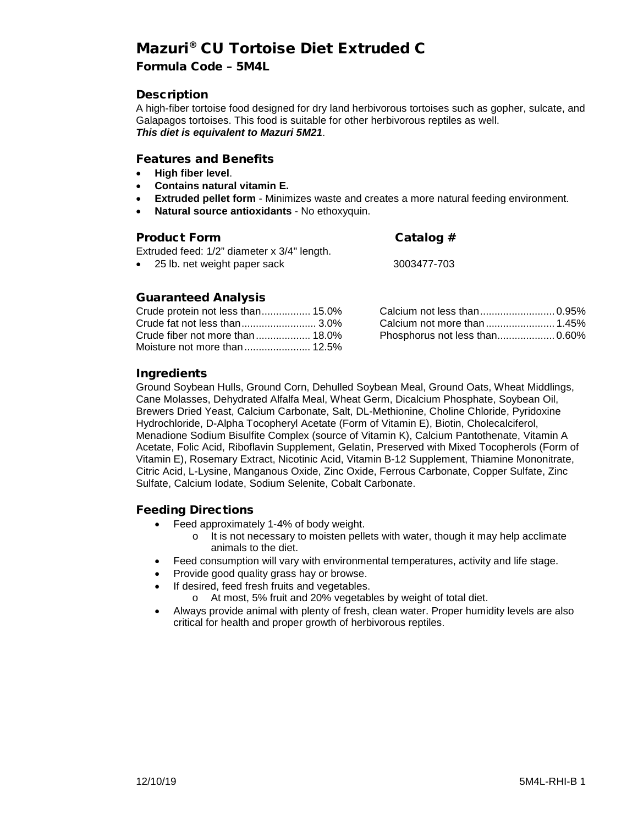## Mazuri® CU Tortoise Diet Extruded C

## Formula Code – 5M4L

## **Description**

A high-fiber tortoise food designed for dry land herbivorous tortoises such as gopher, sulcate, and Galapagos tortoises. This food is suitable for other herbivorous reptiles as well. *This diet is equivalent to Mazuri 5M21*.

## Features and Benefits

- **High fiber level**.
- **Contains natural vitamin E.**
- **Extruded pellet form** Minimizes waste and creates a more natural feeding environment.
- **Natural source antioxidants**  No ethoxyquin.

## Product Form Catalog #

Extruded feed: 1/2" diameter x 3/4" length.

| Gatalog #   |  |
|-------------|--|
| 3003477-703 |  |

|  |  | 25 lb. het weight paper sack |  |
|--|--|------------------------------|--|
|  |  |                              |  |

## Guaranteed Analysis

## Ingredients

Ground Soybean Hulls, Ground Corn, Dehulled Soybean Meal, Ground Oats, Wheat Middlings, Cane Molasses, Dehydrated Alfalfa Meal, Wheat Germ, Dicalcium Phosphate, Soybean Oil, Brewers Dried Yeast, Calcium Carbonate, Salt, DL-Methionine, Choline Chloride, Pyridoxine Hydrochloride, D-Alpha Tocopheryl Acetate (Form of Vitamin E), Biotin, Cholecalciferol, Menadione Sodium Bisulfite Complex (source of Vitamin K), Calcium Pantothenate, Vitamin A Acetate, Folic Acid, Riboflavin Supplement, Gelatin, Preserved with Mixed Tocopherols (Form of Vitamin E), Rosemary Extract, Nicotinic Acid, Vitamin B-12 Supplement, Thiamine Mononitrate, Citric Acid, L-Lysine, Manganous Oxide, Zinc Oxide, Ferrous Carbonate, Copper Sulfate, Zinc Sulfate, Calcium Iodate, Sodium Selenite, Cobalt Carbonate.

## Feeding Directions

- Feed approximately 1-4% of body weight.
	- $\circ$  It is not necessary to moisten pellets with water, though it may help acclimate animals to the diet.
- Feed consumption will vary with environmental temperatures, activity and life stage.
- Provide good quality grass hay or browse.
- If desired, feed fresh fruits and vegetables.
	- o At most, 5% fruit and 20% vegetables by weight of total diet.
- Always provide animal with plenty of fresh, clean water. Proper humidity levels are also critical for health and proper growth of herbivorous reptiles.